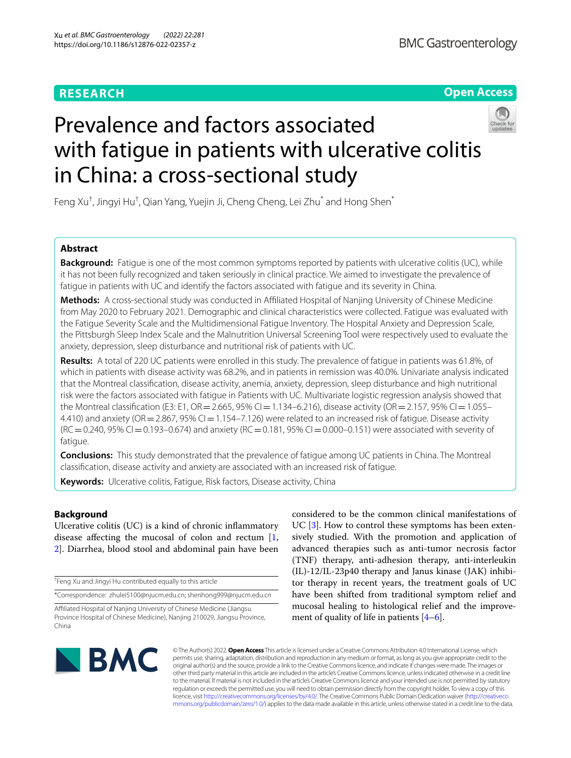## **RESEARCH**

**Open Access**

# Prevalence and factors associated with fatigue in patients with ulcerative colitis in China: a cross-sectional study



Feng Xu $^\dagger$ , Jingyi Hu $^\dagger$ , Qian Yang, Yuejin Ji, Cheng Cheng, Lei Zhu $^*$  and Hong Shen $^*$ 

## **Abstract**

**Background:** Fatigue is one of the most common symptoms reported by patients with ulcerative colitis (UC), while it has not been fully recognized and taken seriously in clinical practice. We aimed to investigate the prevalence of fatigue in patients with UC and identify the factors associated with fatigue and its severity in China.

**Methods:** A cross-sectional study was conducted in Afliated Hospital of Nanjing University of Chinese Medicine from May 2020 to February 2021. Demographic and clinical characteristics were collected. Fatigue was evaluated with the Fatigue Severity Scale and the Multidimensional Fatigue Inventory. The Hospital Anxiety and Depression Scale, the Pittsburgh Sleep Index Scale and the Malnutrition Universal Screening Tool were respectively used to evaluate the anxiety, depression, sleep disturbance and nutritional risk of patients with UC.

**Results:** A total of 220 UC patients were enrolled in this study. The prevalence of fatigue in patients was 61.8%, of which in patients with disease activity was 68.2%, and in patients in remission was 40.0%. Univariate analysis indicated that the Montreal classifcation, disease activity, anemia, anxiety, depression, sleep disturbance and high nutritional risk were the factors associated with fatigue in Patients with UC. Multivariate logistic regression analysis showed that the Montreal classification (E3: E1, OR = 2.665, 95% CI = 1.134–6.216), disease activity (OR = 2.157, 95% CI = 1.055– 4.410) and anxiety (OR = 2.867, 95% CI = 1.154–7.126) were related to an increased risk of fatigue. Disease activity  $(RC = 0.240, 95\% CI = 0.193 - 0.674)$  and anxiety  $(RC = 0.181, 95\% CI = 0.000 - 0.151)$  were associated with severity of fatigue.

**Conclusions:** This study demonstrated that the prevalence of fatigue among UC patients in China. The Montreal classifcation, disease activity and anxiety are associated with an increased risk of fatigue.

**Keywords:** Ulcerative colitis, Fatigue, Risk factors, Disease activity, China

## **Background**

Ulcerative colitis (UC) is a kind of chronic infammatory disease affecting the mucosal of colon and rectum  $[1, 1]$  $[1, 1]$ [2\]](#page-7-1). Diarrhea, blood stool and abdominal pain have been

† Feng Xu and Jingyi Hu contributed equally to this article

\*Correspondence: zhulei5100@njucm.edu.cn; shenhong999@njucm.edu.cn

Afliated Hospital of Nanjing University of Chinese Medicine (Jiangsu Province Hospital of Chinese Medicine), Nanjing 210029, Jiangsu Province, China

considered to be the common clinical manifestations of UC [[3\]](#page-7-2). How to control these symptoms has been extensively studied. With the promotion and application of advanced therapies such as anti-tumor necrosis factor (TNF) therapy, anti-adhesion therapy, anti-interleukin (IL)-12/IL-23p40 therapy and Janus kinase (JAK) inhibitor therapy in recent years, the treatment goals of UC have been shifted from traditional symptom relief and mucosal healing to histological relief and the improvement of quality of life in patients  $[4-6]$  $[4-6]$  $[4-6]$ .



© The Author(s) 2022. **Open Access** This article is licensed under a Creative Commons Attribution 4.0 International License, which permits use, sharing, adaptation, distribution and reproduction in any medium or format, as long as you give appropriate credit to the original author(s) and the source, provide a link to the Creative Commons licence, and indicate if changes were made. The images or other third party material in this article are included in the article's Creative Commons licence, unless indicated otherwise in a credit line to the material. If material is not included in the article's Creative Commons licence and your intended use is not permitted by statutory regulation or exceeds the permitted use, you will need to obtain permission directly from the copyright holder. To view a copy of this licence, visit [http://creativecommons.org/licenses/by/4.0/.](http://creativecommons.org/licenses/by/4.0/) The Creative Commons Public Domain Dedication waiver ([http://creativeco](http://creativecommons.org/publicdomain/zero/1.0/) [mmons.org/publicdomain/zero/1.0/](http://creativecommons.org/publicdomain/zero/1.0/)) applies to the data made available in this article, unless otherwise stated in a credit line to the data.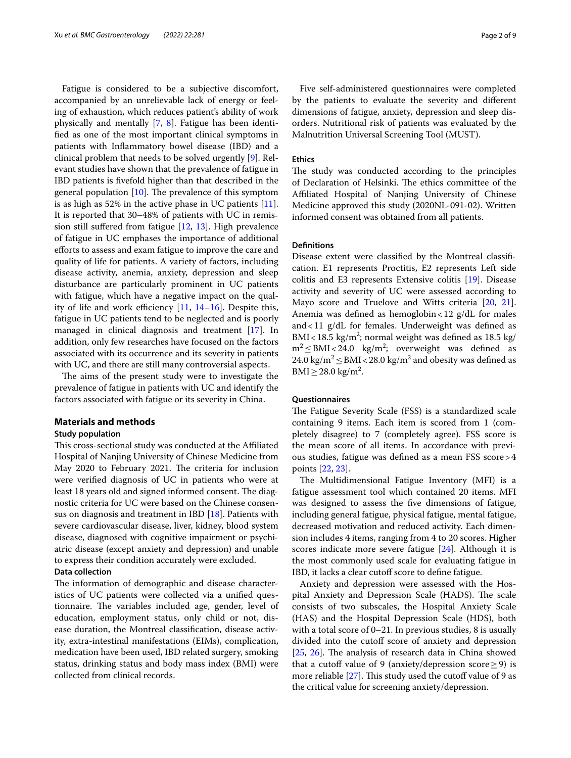Fatigue is considered to be a subjective discomfort, accompanied by an unrelievable lack of energy or feeling of exhaustion, which reduces patient's ability of work physically and mentally [[7](#page-7-5), [8\]](#page-7-6). Fatigue has been identifed as one of the most important clinical symptoms in patients with Infammatory bowel disease (IBD) and a clinical problem that needs to be solved urgently [\[9](#page-7-7)]. Relevant studies have shown that the prevalence of fatigue in IBD patients is fvefold higher than that described in the general population  $[10]$ . The prevalence of this symptom is as high as 52% in the active phase in UC patients [\[11](#page-7-9)]. It is reported that 30–48% of patients with UC in remission still suffered from fatigue  $[12, 13]$  $[12, 13]$  $[12, 13]$  $[12, 13]$  $[12, 13]$ . High prevalence of fatigue in UC emphases the importance of additional efforts to assess and exam fatigue to improve the care and quality of life for patients. A variety of factors, including disease activity, anemia, anxiety, depression and sleep disturbance are particularly prominent in UC patients with fatigue, which have a negative impact on the quality of life and work efficiency  $[11, 14-16]$  $[11, 14-16]$  $[11, 14-16]$  $[11, 14-16]$  $[11, 14-16]$ . Despite this, fatigue in UC patients tend to be neglected and is poorly managed in clinical diagnosis and treatment [\[17\]](#page-7-14). In addition, only few researches have focused on the factors associated with its occurrence and its severity in patients with UC, and there are still many controversial aspects.

The aims of the present study were to investigate the prevalence of fatigue in patients with UC and identify the factors associated with fatigue or its severity in China.

### **Materials and methods**

### **Study population**

This cross-sectional study was conducted at the Affiliated Hospital of Nanjing University of Chinese Medicine from May 2020 to February 2021. The criteria for inclusion were verifed diagnosis of UC in patients who were at least 18 years old and signed informed consent. The diagnostic criteria for UC were based on the Chinese consensus on diagnosis and treatment in IBD [\[18](#page-7-15)]. Patients with severe cardiovascular disease, liver, kidney, blood system disease, diagnosed with cognitive impairment or psychiatric disease (except anxiety and depression) and unable to express their condition accurately were excluded.

## **Data collection**

The information of demographic and disease characteristics of UC patients were collected via a unifed questionnaire. The variables included age, gender, level of education, employment status, only child or not, disease duration, the Montreal classifcation, disease activity, extra-intestinal manifestations (EIMs), complication, medication have been used, IBD related surgery, smoking status, drinking status and body mass index (BMI) were collected from clinical records.

Five self-administered questionnaires were completed by the patients to evaluate the severity and diferent dimensions of fatigue, anxiety, depression and sleep disorders. Nutritional risk of patients was evaluated by the Malnutrition Universal Screening Tool (MUST).

#### **Ethics**

The study was conducted according to the principles of Declaration of Helsinki. The ethics committee of the Afliated Hospital of Nanjing University of Chinese Medicine approved this study (2020NL-091-02). Written informed consent was obtained from all patients.

## **Defnitions**

Disease extent were classifed by the Montreal classifcation. E1 represents Proctitis, E2 represents Left side colitis and E3 represents Extensive colitis [\[19\]](#page-8-0). Disease activity and severity of UC were assessed according to Mayo score and Truelove and Witts criteria [\[20](#page-8-1), [21](#page-8-2)]. Anemia was defned as hemoglobin<12 g/dL for males and  $<$  11  $g/dL$  for females. Underweight was defined as BMI <  $18.5 \text{ kg/m}^2$ ; normal weight was defined as  $18.5 \text{ kg/m}^2$  $m^2 \leq BMI \leq 24.0$  kg/m<sup>2</sup>; overweight was defined as 24.0 kg/m<sup>2</sup>  $\leq$  BMI < 28.0 kg/m<sup>2</sup> and obesity was defined as  $BMI \ge 28.0 \text{ kg/m}^2$ .

#### **Questionnaires**

The Fatigue Severity Scale (FSS) is a standardized scale containing 9 items. Each item is scored from 1 (completely disagree) to 7 (completely agree). FSS score is the mean score of all items. In accordance with previous studies, fatigue was defned as a mean FSS score>4 points [[22,](#page-8-3) [23](#page-8-4)].

The Multidimensional Fatigue Inventory (MFI) is a fatigue assessment tool which contained 20 items. MFI was designed to assess the fve dimensions of fatigue, including general fatigue, physical fatigue, mental fatigue, decreased motivation and reduced activity. Each dimension includes 4 items, ranging from 4 to 20 scores. Higher scores indicate more severe fatigue [\[24](#page-8-5)]. Although it is the most commonly used scale for evaluating fatigue in IBD, it lacks a clear cutoff score to define fatigue.

Anxiety and depression were assessed with the Hospital Anxiety and Depression Scale (HADS). The scale consists of two subscales, the Hospital Anxiety Scale (HAS) and the Hospital Depression Scale (HDS), both with a total score of 0–21. In previous studies, 8 is usually divided into the cutoff score of anxiety and depression [[25,](#page-8-6) [26](#page-8-7)]. The analysis of research data in China showed that a cutoff value of 9 (anxiety/depression score  $\geq$  9) is more reliable  $[27]$  $[27]$ . This study used the cutoff value of 9 as the critical value for screening anxiety/depression.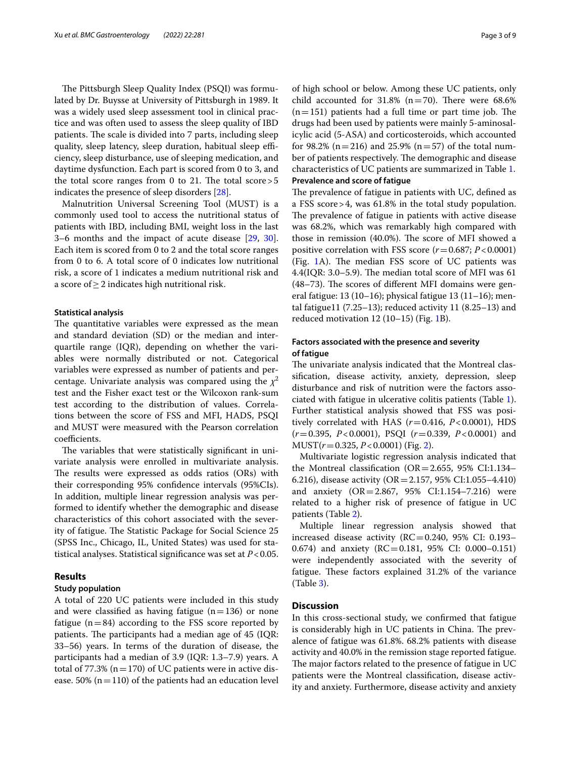The Pittsburgh Sleep Quality Index (PSQI) was formulated by Dr. Buysse at University of Pittsburgh in 1989. It was a widely used sleep assessment tool in clinical practice and was often used to assess the sleep quality of IBD patients. The scale is divided into 7 parts, including sleep quality, sleep latency, sleep duration, habitual sleep efficiency, sleep disturbance, use of sleeping medication, and daytime dysfunction. Each part is scored from 0 to 3, and the total score ranges from 0 to 21. The total score  $>5$ indicates the presence of sleep disorders [[28\]](#page-8-9).

Malnutrition Universal Screening Tool (MUST) is a commonly used tool to access the nutritional status of patients with IBD, including BMI, weight loss in the last 3–6 months and the impact of acute disease [[29,](#page-8-10) [30](#page-8-11)]. Each item is scored from 0 to 2 and the total score ranges from 0 to 6. A total score of 0 indicates low nutritional risk, a score of 1 indicates a medium nutritional risk and a score of  $\geq$  2 indicates high nutritional risk.

#### **Statistical analysis**

The quantitative variables were expressed as the mean and standard deviation (SD) or the median and interquartile range (IQR), depending on whether the variables were normally distributed or not. Categorical variables were expressed as number of patients and percentage. Univariate analysis was compared using the  $\chi^2$ test and the Fisher exact test or the Wilcoxon rank-sum test according to the distribution of values. Correlations between the score of FSS and MFI, HADS, PSQI and MUST were measured with the Pearson correlation coefficients.

The variables that were statistically significant in univariate analysis were enrolled in multivariate analysis. The results were expressed as odds ratios (ORs) with their corresponding 95% confdence intervals (95%CIs). In addition, multiple linear regression analysis was performed to identify whether the demographic and disease characteristics of this cohort associated with the severity of fatigue. The Statistic Package for Social Science 25 (SPSS Inc., Chicago, IL, United States) was used for statistical analyses. Statistical signifcance was set at *P*<0.05.

## **Results**

## **Study population**

A total of 220 UC patients were included in this study and were classified as having fatigue  $(n=136)$  or none fatigue  $(n=84)$  according to the FSS score reported by patients. The participants had a median age of 45 (IQR: 33–56) years. In terms of the duration of disease, the participants had a median of 3.9 (IQR: 1.3–7.9) years. A total of 77.3% ( $n=170$ ) of UC patients were in active disease. 50% ( $n=110$ ) of the patients had an education level of high school or below. Among these UC patients, only child accounted for  $31.8\%$  (n=70). There were 68.6%  $(n=151)$  patients had a full time or part time job. The drugs had been used by patients were mainly 5-aminosalicylic acid (5-ASA) and corticosteroids, which accounted for 98.2% (n=216) and 25.9% (n=57) of the total number of patients respectively. The demographic and disease characteristics of UC patients are summarized in Table [1.](#page-3-0) **Prevalence and score of fatigue**

The prevalence of fatigue in patients with UC, defined as a FSS score>4, was 61.8% in the total study population. The prevalence of fatigue in patients with active disease was 68.2%, which was remarkably high compared with those in remission (40.0%). The score of MFI showed a positive correlation with FSS score  $(r=0.687; P<0.0001)$ (Fig. [1A](#page-4-0)). The median FSS score of UC patients was 4.4(IQR: 3.0–5.9). The median total score of MFI was  $61$  $(48-73)$ . The scores of different MFI domains were general fatigue: 13 (10–16); physical fatigue 13 (11–16); mental fatigue11 (7.25–13); reduced activity 11 (8.25–13) and reduced motivation 12 (10–15) (Fig. [1B](#page-4-0)).

## **Factors associated with the presence and severity of fatigue**

The univariate analysis indicated that the Montreal classifcation, disease activity, anxiety, depression, sleep disturbance and risk of nutrition were the factors associated with fatigue in ulcerative colitis patients (Table [1](#page-3-0)). Further statistical analysis showed that FSS was positively correlated with HAS (*r*=0.416, *P*<0.0001), HDS (*r*=0.395, *P*<0.0001), PSQI (*r*=0.339, *P*<0.0001) and MUST(*r*=0.325, *P*<0.0001) (Fig. [2\)](#page-5-0).

Multivariate logistic regression analysis indicated that the Montreal classification ( $OR = 2.655$ , 95% CI:1.134– 6.216), disease activity (OR=2.157, 95% CI:1.055–4.410) and anxiety (OR=2.867, 95% CI:1.154–7.216) were related to a higher risk of presence of fatigue in UC patients (Table [2](#page-5-1)).

Multiple linear regression analysis showed that increased disease activity ( $RC = 0.240$ , 95% CI: 0.193– 0.674) and anxiety (RC=0.181, 95% CI: 0.000–0.151) were independently associated with the severity of fatigue. These factors explained 31.2% of the variance (Table [3\)](#page-5-2).

## **Discussion**

In this cross-sectional study, we confrmed that fatigue is considerably high in UC patients in China. The prevalence of fatigue was 61.8%. 68.2% patients with disease activity and 40.0% in the remission stage reported fatigue. The major factors related to the presence of fatigue in UC patients were the Montreal classifcation, disease activity and anxiety. Furthermore, disease activity and anxiety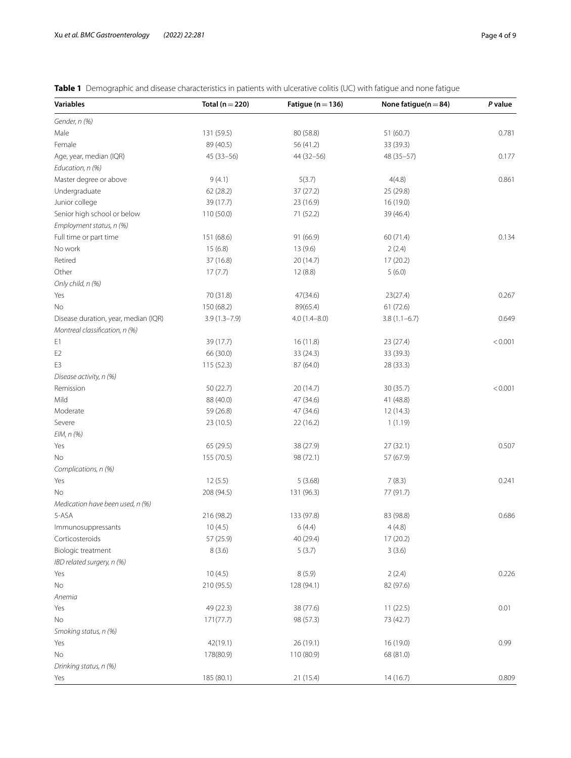| <b>Variables</b>                     | Total ( $n = 220$ ) | Fatigue ( $n = 136$ )  | None fatigue( $n = 84$ ) | P value |
|--------------------------------------|---------------------|------------------------|--------------------------|---------|
| Gender, n (%)                        |                     |                        |                          |         |
| Male                                 | 131 (59.5)          | 80 (58.8)              | 51(60.7)                 | 0.781   |
| Female                               | 89 (40.5)           | 56 (41.2)              | 33 (39.3)                |         |
| Age, year, median (IQR)              | $45(33 - 56)$       | 44 (32 - 56)           | 48 (35-57)               | 0.177   |
| Education, n (%)                     |                     |                        |                          |         |
| Master degree or above               | 9(4.1)              | 5(3.7)                 | 4(4.8)                   | 0.861   |
| Undergraduate                        | 62 (28.2)           | 37 (27.2)              | 25 (29.8)                |         |
| Junior college                       | 39 (17.7)           | 23 (16.9)              | 16 (19.0)                |         |
| Senior high school or below          | 110 (50.0)          | 71 (52.2)              | 39 (46.4)                |         |
| Employment status, n (%)             |                     |                        |                          |         |
| Full time or part time               | 151 (68.6)          | 91 (66.9)              | 60 (71.4)                | 0.134   |
| No work                              | 15(6.8)             | 13(9.6)                | 2(2.4)                   |         |
| Retired                              | 37 (16.8)           | 20 (14.7)              | 17(20.2)                 |         |
| Other                                | 17(7.7)             | 12(8.8)                | 5(6.0)                   |         |
| Only child, n (%)                    |                     |                        |                          |         |
| Yes                                  | 70 (31.8)           | 47(34.6)               | 23(27.4)                 | 0.267   |
| No                                   | 150 (68.2)          | 89(65.4)               | 61(72.6)                 |         |
| Disease duration, year, median (IQR) | $3.9(1.3 - 7.9)$    | $4.0(1.4 - 8.0)$       | $3.8(1.1-6.7)$           | 0.649   |
| Montreal classification, n (%)       |                     |                        |                          |         |
| E1                                   | 39 (17.7)           | 16(11.8)               | 23 (27.4)                | < 0.001 |
|                                      |                     |                        | 33 (39.3)                |         |
| E <sub>2</sub>                       | 66 (30.0)           | 33 (24.3)<br>87 (64.0) |                          |         |
| E3                                   | 115 (52.3)          |                        | 28 (33.3)                |         |
| Disease activity, n (%)              |                     |                        |                          |         |
| Remission                            | 50 (22.7)           | 20 (14.7)              | 30 (35.7)                | < 0.001 |
| Mild                                 | 88 (40.0)           | 47 (34.6)              | 41 (48.8)                |         |
| Moderate                             | 59 (26.8)           | 47 (34.6)              | 12 (14.3)                |         |
| Severe                               | 23 (10.5)           | 22 (16.2)              | 1(1.19)                  |         |
| EIM, n (%)                           |                     |                        |                          |         |
| Yes                                  | 65 (29.5)           | 38 (27.9)              | 27(32.1)                 | 0.507   |
| No                                   | 155 (70.5)          | 98 (72.1)              | 57 (67.9)                |         |
| Complications, n (%)                 |                     |                        |                          |         |
| Yes                                  | 12(5.5)             | 5(3.68)                | 7(8.3)                   | 0.241   |
| No                                   | 208 (94.5)          | 131 (96.3)             | 77 (91.7)                |         |
| Medication have been used, n (%)     |                     |                        |                          |         |
| 5-ASA                                | 216 (98.2)          | 133 (97.8)             | 83 (98.8)                | 0.686   |
| Immunosuppressants                   | 10(4.5)             | 6(4.4)                 | 4(4.8)                   |         |
| Corticosteroids                      | 57 (25.9)           | 40 (29.4)              | 17(20.2)                 |         |
| Biologic treatment                   | 8(3.6)              | 5(3.7)                 | 3(3.6)                   |         |
| IBD related surgery, n (%)           |                     |                        |                          |         |
| Yes                                  | 10(4.5)             | 8(5.9)                 | 2(2.4)                   | 0.226   |
| No                                   | 210 (95.5)          | 128 (94.1)             | 82 (97.6)                |         |
| Anemia                               |                     |                        |                          |         |
| Yes                                  | 49 (22.3)           | 38 (77.6)              | 11(22.5)                 | 0.01    |
| No                                   | 171(77.7)           | 98 (57.3)              | 73 (42.7)                |         |
| Smoking status, n (%)                |                     |                        |                          |         |
| Yes                                  | 42(19.1)            | 26 (19.1)              | 16 (19.0)                | 0.99    |
| No                                   | 178(80.9)           | 110 (80.9)             | 68 (81.0)                |         |
| Drinking status, n (%)               |                     |                        |                          |         |
| Yes                                  | 185 (80.1)          | 21 (15.4)              | 14(16.7)                 | 0.809   |

<span id="page-3-0"></span>**Table 1** Demographic and disease characteristics in patients with ulcerative colitis (UC) with fatigue and none fatigue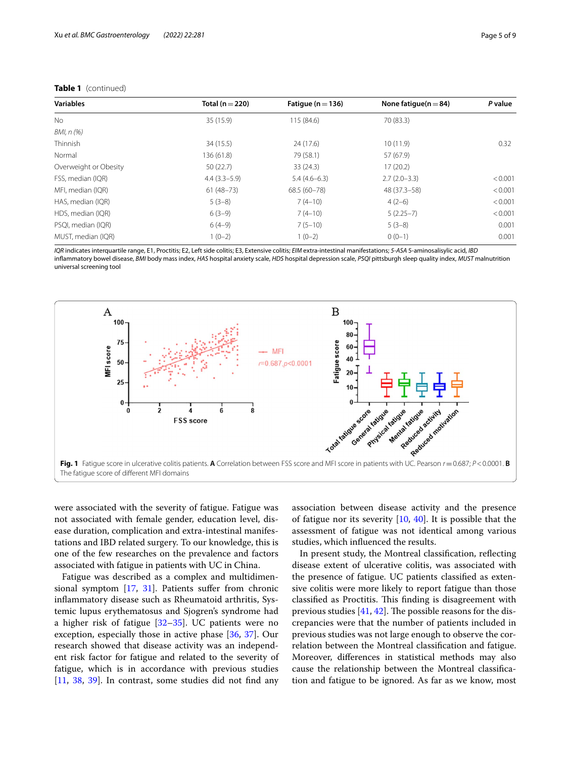| <b>Variables</b>      | Total ( $n = 220$ ) | Fatique ( $n = 136$ ) | None fatique $(n=84)$ | P value |
|-----------------------|---------------------|-----------------------|-----------------------|---------|
| <b>No</b>             | 35 (15.9)           | 115 (84.6)            | 70 (83.3)             |         |
| BMI, n (%)            |                     |                       |                       |         |
| Thinnish              | 34 (15.5)           | 24 (17.6)             | 10(11.9)              | 0.32    |
| Normal                | 136 (61.8)          | 79 (58.1)             | 57 (67.9)             |         |
| Overweight or Obesity | 50(22.7)            | 33(24.3)              | 17(20.2)              |         |
| FSS, median (IQR)     | $4.4(3.3-5.9)$      | $5.4(4.6-6.3)$        | $2.7(2.0-3.3)$        | < 0.001 |
| MFI, median (IQR)     | $61(48-73)$         | 68.5 (60-78)          | 48 (37.3 - 58)        | < 0.001 |
| HAS, median (IQR)     | $5(3-8)$            | $7(4-10)$             | $4(2-6)$              | < 0.001 |
| HDS, median (IQR)     | $6(3-9)$            | $7(4-10)$             | $5(2.25-7)$           | < 0.001 |
| PSQI, median (IQR)    | $6(4-9)$            | $7(5-10)$             | $5(3-8)$              | 0.001   |
| MUST, median (IQR)    | $1(0-2)$            | $1(0-2)$              | $0(0-1)$              | 0.001   |

## **Table 1** (continued)

*IQR* indicates interquartile range, E1, Proctitis; E2, Left side colitis; E3, Extensive colitis; *EIM* extra-intestinal manifestations; *5-ASA* 5-aminosalisylic acid, *IBD* infammatory bowel disease, *BMI* body mass index, *HAS* hospital anxiety scale, *HDS* hospital depression scale, *PSQI* pittsburgh sleep quality index, *MUST* malnutrition universal screening tool



<span id="page-4-0"></span>were associated with the severity of fatigue. Fatigue was not associated with female gender, education level, disease duration, complication and extra-intestinal manifestations and IBD related surgery. To our knowledge, this is one of the few researches on the prevalence and factors associated with fatigue in patients with UC in China.

Fatigue was described as a complex and multidimensional symptom [\[17,](#page-7-14) [31\]](#page-8-12). Patients sufer from chronic infammatory disease such as Rheumatoid arthritis, Systemic lupus erythematosus and Sjogren's syndrome had a higher risk of fatigue  $[32-35]$  $[32-35]$  $[32-35]$ . UC patients were no exception, especially those in active phase [\[36](#page-8-15), [37\]](#page-8-16). Our research showed that disease activity was an independent risk factor for fatigue and related to the severity of fatigue, which is in accordance with previous studies [[11,](#page-7-9) [38,](#page-8-17) [39\]](#page-8-18). In contrast, some studies did not fnd any association between disease activity and the presence of fatigue nor its severity  $[10, 40]$  $[10, 40]$  $[10, 40]$ . It is possible that the assessment of fatigue was not identical among various studies, which infuenced the results.

In present study, the Montreal classifcation, refecting disease extent of ulcerative colitis, was associated with the presence of fatigue. UC patients classifed as extensive colitis were more likely to report fatigue than those classified as Proctitis. This finding is disagreement with previous studies  $[41, 42]$  $[41, 42]$  $[41, 42]$ . The possible reasons for the discrepancies were that the number of patients included in previous studies was not large enough to observe the correlation between the Montreal classifcation and fatigue. Moreover, diferences in statistical methods may also cause the relationship between the Montreal classifcation and fatigue to be ignored. As far as we know, most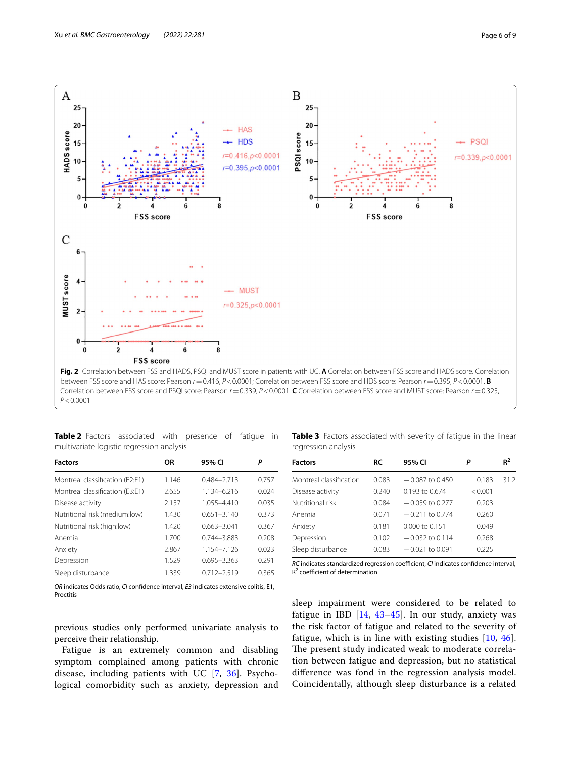

<span id="page-5-1"></span><span id="page-5-0"></span>**Table 2** Factors associated with presence of fatigue in multivariate logistic regression analysis

| <b>Factors</b>                  | OR    | 95% CI          | Ρ     |
|---------------------------------|-------|-----------------|-------|
| Montreal classification (E2:E1) | 1.146 | $0.484 - 2.713$ | 0.757 |
| Montreal classification (E3:E1) | 2.655 | 1134-6216       | 0.024 |
| Disease activity                | 2.157 | 1055-4410       | 0.035 |
| Nutritional risk (medium:low)   | 1.430 | $0.651 - 3.140$ | 0.373 |
| Nutritional risk (high:low)     | 1.420 | $0.663 - 3.041$ | 0.367 |
| Anemia                          | 1.700 | $0.744 - 3.883$ | 0.208 |
| Anxiety                         | 2.867 | 1.154-7.126     | 0.023 |
| Depression                      | 1.529 | $0.695 - 3.363$ | 0.291 |
| Sleep disturbance               | 1.339 | $0.712 - 2.519$ | 0.365 |

<span id="page-5-2"></span>**Table 3** Factors associated with severity of fatigue in the linear regression analysis

| <b>Factors</b>          | <b>RC</b> | 95% CI             | Ρ       | $R^2$ |
|-------------------------|-----------|--------------------|---------|-------|
| Montreal classification | 0.083     | $-0.087$ to 0.450  | 0.183   | 312   |
| Disease activity        | 0.240     | $0.193$ to $0.674$ | < 0.001 |       |
| Nutritional risk        | 0.084     | $-0.059$ to 0.277  | 0.203   |       |
| Anemia                  | 0.071     | $-0.211$ to 0.774  | 0.260   |       |
| Anxiety                 | 0.181     | 0.000 to 0.151     | 0.049   |       |
| Depression              | 0.102     | $-0.032$ to 0.114  | 0.268   |       |
| Sleep disturbance       | 0.083     | $-0.021$ to 0.091  | 0.225   |       |

*RC* indicates standardized regression coefficient, *CI* indicates confidence interval,  $R<sup>2</sup>$  coefficient of determination

*OR* indicates Odds ratio, *CI* confdence interval, *E3* indicates extensive colitis, E1, Proctitis

previous studies only performed univariate analysis to perceive their relationship.

Fatigue is an extremely common and disabling symptom complained among patients with chronic disease, including patients with UC [[7](#page-7-5), [36\]](#page-8-15). Psychological comorbidity such as anxiety, depression and sleep impairment were considered to be related to fatigue in IBD [[14,](#page-7-12) [43](#page-8-22)[–45\]](#page-8-23). In our study, anxiety was the risk factor of fatigue and related to the severity of fatigue, which is in line with existing studies [[10,](#page-7-8) [46](#page-8-24)]. The present study indicated weak to moderate correlation between fatigue and depression, but no statistical diference was fond in the regression analysis model. Coincidentally, although sleep disturbance is a related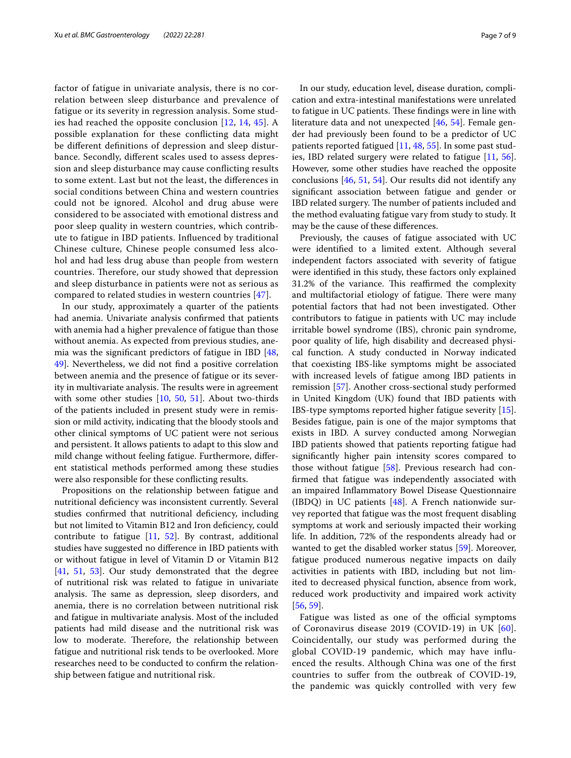factor of fatigue in univariate analysis, there is no correlation between sleep disturbance and prevalence of fatigue or its severity in regression analysis. Some studies had reached the opposite conclusion [[12,](#page-7-10) [14](#page-7-12), [45\]](#page-8-23). A possible explanation for these conficting data might be diferent defnitions of depression and sleep disturbance. Secondly, diferent scales used to assess depression and sleep disturbance may cause conficting results to some extent. Last but not the least, the diferences in social conditions between China and western countries could not be ignored. Alcohol and drug abuse were considered to be associated with emotional distress and poor sleep quality in western countries, which contribute to fatigue in IBD patients. Infuenced by traditional Chinese culture, Chinese people consumed less alcohol and had less drug abuse than people from western countries. Therefore, our study showed that depression and sleep disturbance in patients were not as serious as compared to related studies in western countries [\[47](#page-8-25)].

In our study, approximately a quarter of the patients had anemia. Univariate analysis confrmed that patients with anemia had a higher prevalence of fatigue than those without anemia. As expected from previous studies, anemia was the signifcant predictors of fatigue in IBD [\[48](#page-8-26), [49\]](#page-8-27). Nevertheless, we did not fnd a positive correlation between anemia and the presence of fatigue or its severity in multivariate analysis. The results were in agreement with some other studies [\[10](#page-7-8), [50](#page-8-28), [51](#page-8-29)]. About two-thirds of the patients included in present study were in remission or mild activity, indicating that the bloody stools and other clinical symptoms of UC patient were not serious and persistent. It allows patients to adapt to this slow and mild change without feeling fatigue. Furthermore, diferent statistical methods performed among these studies were also responsible for these conficting results.

Propositions on the relationship between fatigue and nutritional defciency was inconsistent currently. Several studies confirmed that nutritional deficiency, including but not limited to Vitamin B12 and Iron defciency, could contribute to fatigue [[11](#page-7-9), [52\]](#page-8-30). By contrast, additional studies have suggested no diference in IBD patients with or without fatigue in level of Vitamin D or Vitamin B12 [[41,](#page-8-20) [51,](#page-8-29) [53\]](#page-8-31). Our study demonstrated that the degree of nutritional risk was related to fatigue in univariate analysis. The same as depression, sleep disorders, and anemia, there is no correlation between nutritional risk and fatigue in multivariate analysis. Most of the included patients had mild disease and the nutritional risk was low to moderate. Therefore, the relationship between fatigue and nutritional risk tends to be overlooked. More researches need to be conducted to confrm the relationship between fatigue and nutritional risk.

In our study, education level, disease duration, complication and extra-intestinal manifestations were unrelated to fatigue in UC patients. These findings were in line with literature data and not unexpected [[46,](#page-8-24) [54\]](#page-8-32). Female gender had previously been found to be a predictor of UC patients reported fatigued [\[11](#page-7-9), [48,](#page-8-26) [55](#page-8-33)]. In some past studies, IBD related surgery were related to fatigue [[11,](#page-7-9) [56](#page-8-34)]. However, some other studies have reached the opposite conclusions [[46,](#page-8-24) [51,](#page-8-29) [54\]](#page-8-32). Our results did not identify any signifcant association between fatigue and gender or IBD related surgery. The number of patients included and the method evaluating fatigue vary from study to study. It may be the cause of these diferences.

Previously, the causes of fatigue associated with UC were identifed to a limited extent. Although several independent factors associated with severity of fatigue were identifed in this study, these factors only explained 31.2% of the variance. This reaffirmed the complexity and multifactorial etiology of fatigue. There were many potential factors that had not been investigated. Other contributors to fatigue in patients with UC may include irritable bowel syndrome (IBS), chronic pain syndrome, poor quality of life, high disability and decreased physical function. A study conducted in Norway indicated that coexisting IBS-like symptoms might be associated with increased levels of fatigue among IBD patients in remission [[57](#page-8-35)]. Another cross-sectional study performed in United Kingdom (UK) found that IBD patients with IBS-type symptoms reported higher fatigue severity [\[15](#page-7-16)]. Besides fatigue, pain is one of the major symptoms that exists in IBD. A survey conducted among Norwegian IBD patients showed that patients reporting fatigue had signifcantly higher pain intensity scores compared to those without fatigue [[58](#page-8-36)]. Previous research had confrmed that fatigue was independently associated with an impaired Infammatory Bowel Disease Questionnaire (IBDQ) in UC patients  $[48]$  $[48]$ . A French nationwide survey reported that fatigue was the most frequent disabling symptoms at work and seriously impacted their working life. In addition, 72% of the respondents already had or wanted to get the disabled worker status [\[59](#page-8-37)]. Moreover, fatigue produced numerous negative impacts on daily activities in patients with IBD, including but not limited to decreased physical function, absence from work, reduced work productivity and impaired work activity [[56,](#page-8-34) [59](#page-8-37)].

Fatigue was listed as one of the official symptoms of Coronavirus disease 2019 (COVID-19) in UK [[60\]](#page-8-38). Coincidentally, our study was performed during the global COVID-19 pandemic, which may have infuenced the results. Although China was one of the frst countries to sufer from the outbreak of COVID-19, the pandemic was quickly controlled with very few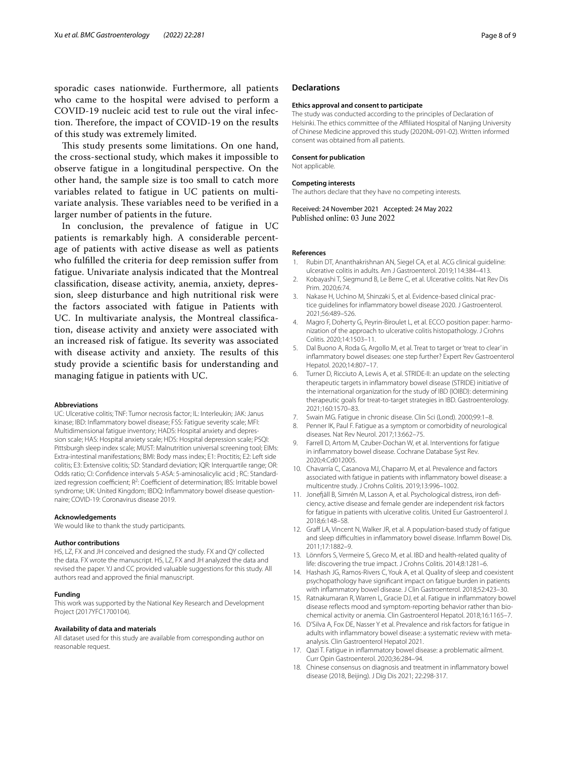sporadic cases nationwide. Furthermore, all patients who came to the hospital were advised to perform a COVID-19 nucleic acid test to rule out the viral infection. Therefore, the impact of COVID-19 on the results of this study was extremely limited.

This study presents some limitations. On one hand, the cross-sectional study, which makes it impossible to observe fatigue in a longitudinal perspective. On the other hand, the sample size is too small to catch more variables related to fatigue in UC patients on multivariate analysis. These variables need to be verified in a larger number of patients in the future.

In conclusion, the prevalence of fatigue in UC patients is remarkably high. A considerable percentage of patients with active disease as well as patients who fulflled the criteria for deep remission sufer from fatigue. Univariate analysis indicated that the Montreal classifcation, disease activity, anemia, anxiety, depression, sleep disturbance and high nutritional risk were the factors associated with fatigue in Patients with UC. In multivariate analysis, the Montreal classifcation, disease activity and anxiety were associated with an increased risk of fatigue. Its severity was associated with disease activity and anxiety. The results of this study provide a scientifc basis for understanding and managing fatigue in patients with UC.

#### **Abbreviations**

UC: Ulcerative colitis; TNF: Tumor necrosis factor; IL: Interleukin; JAK: Janus kinase; IBD: Infammatory bowel disease; FSS: Fatigue severity scale; MFI: Multidimensional fatigue inventory; HADS: Hospital anxiety and depression scale; HAS: Hospital anxiety scale; HDS: Hospital depression scale; PSQI: Pittsburgh sleep index scale; MUST: Malnutrition universal screening tool; EIMs: Extra-intestinal manifestations; BMI: Body mass index; E1: Proctitis; E2: Left side colitis; E3: Extensive colitis; SD: Standard deviation; IQR: Interquartile range; OR: Odds ratio; CI: Confdence intervals 5-ASA: 5-aminosalicylic acid ; RC: Standardized regression coefficient; R<sup>2</sup>: Coefficient of determination; IBS: Irritable bowel syndrome; UK: United Kingdom; IBDQ: Infammatory bowel disease questionnaire; COVID-19: Coronavirus disease 2019.

#### **Acknowledgements**

We would like to thank the study participants.

#### **Author contributions**

HS, LZ, FX and JH conceived and designed the study. FX and QY collected the data. FX wrote the manuscript. HS, LZ, FX and JH analyzed the data and revised the paper. YJ and CC provided valuable suggestions for this study. All authors read and approved the fnial manuscript.

#### **Funding**

This work was supported by the National Key Research and Development Project (2017YFC1700104).

#### **Availability of data and materials**

All dataset used for this study are available from corresponding author on reasonable request.

#### **Declarations**

#### **Ethics approval and consent to participate**

The study was conducted according to the principles of Declaration of Helsinki. The ethics committee of the Afliated Hospital of Nanjing University of Chinese Medicine approved this study (2020NL-091-02). Written informed consent was obtained from all patients.

#### **Consent for publication**

Not applicable.

#### **Competing interests**

The authors declare that they have no competing interests.

Received: 24 November 2021 Accepted: 24 May 2022 Published online: 03 June 2022

#### **References**

- <span id="page-7-0"></span>Rubin DT, Ananthakrishnan AN, Siegel CA, et al. ACG clinical guideline: ulcerative colitis in adults. Am J Gastroenterol. 2019;114:384–413.
- <span id="page-7-1"></span>2. Kobayashi T, Siegmund B, Le Berre C, et al. Ulcerative colitis. Nat Rev Dis Prim. 2020;6:74.
- <span id="page-7-2"></span>3. Nakase H, Uchino M, Shinzaki S, et al. Evidence-based clinical practice guidelines for infammatory bowel disease 2020. J Gastroenterol. 2021;56:489–526.
- <span id="page-7-3"></span>4. Magro F, Doherty G, Peyrin-Biroulet L, et al. ECCO position paper: harmonization of the approach to ulcerative colitis histopathology. J Crohns Colitis. 2020;14:1503–11.
- 5. Dal Buono A, Roda G, Argollo M, et al. Treat to target or 'treat to clear' in infammatory bowel diseases: one step further? Expert Rev Gastroenterol Hepatol. 2020;14:807–17.
- <span id="page-7-4"></span>6. Turner D, Ricciuto A, Lewis A, et al. STRIDE-II: an update on the selecting therapeutic targets in infammatory bowel disease (STRIDE) initiative of the international organization for the study of IBD (IOIBD): determining therapeutic goals for treat-to-target strategies in IBD. Gastroenterology. 2021;160:1570–83.
- <span id="page-7-5"></span>7. Swain MG. Fatigue in chronic disease. Clin Sci (Lond). 2000;99:1–8.
- <span id="page-7-6"></span>8. Penner IK, Paul F. Fatigue as a symptom or comorbidity of neurological diseases. Nat Rev Neurol. 2017;13:662–75.
- <span id="page-7-7"></span>9. Farrell D, Artom M, Czuber-Dochan W, et al. Interventions for fatigue in infammatory bowel disease. Cochrane Database Syst Rev. 2020;4:Cd012005.
- <span id="page-7-8"></span>10. Chavarría C, Casanova MJ, Chaparro M, et al. Prevalence and factors associated with fatigue in patients with infammatory bowel disease: a multicentre study. J Crohns Colitis. 2019;13:996–1002.
- <span id="page-7-9"></span>11. Jonefäll B, Simrén M, Lasson A, et al. Psychological distress, iron defciency, active disease and female gender are independent risk factors for fatigue in patients with ulcerative colitis. United Eur Gastroenterol J. 2018;6:148–58.
- <span id="page-7-10"></span>12. Graff LA, Vincent N, Walker JR, et al. A population-based study of fatigue and sleep difficulties in inflammatory bowel disease. Inflamm Bowel Dis. 2011;17:1882–9.
- <span id="page-7-11"></span>13. Lönnfors S, Vermeire S, Greco M, et al. IBD and health-related quality of life: discovering the true impact. J Crohns Colitis. 2014;8:1281–6.
- <span id="page-7-12"></span>14. Hashash JG, Ramos-Rivers C, Youk A, et al. Quality of sleep and coexistent psychopathology have signifcant impact on fatigue burden in patients with infammatory bowel disease. J Clin Gastroenterol. 2018;52:423–30.
- <span id="page-7-16"></span>15. Ratnakumaran R, Warren L, Gracie DJ, et al. Fatigue in infammatory bowel disease refects mood and symptom-reporting behavior rather than biochemical activity or anemia. Clin Gastroenterol Hepatol. 2018;16:1165–7.
- <span id="page-7-13"></span>16. D'Silva A, Fox DE, Nasser Y et al. Prevalence and risk factors for fatigue in adults with infammatory bowel disease: a systematic review with metaanalysis. Clin Gastroenterol Hepatol 2021.
- <span id="page-7-14"></span>17. Qazi T. Fatigue in infammatory bowel disease: a problematic ailment. Curr Opin Gastroenterol. 2020;36:284–94.
- <span id="page-7-15"></span>18. Chinese consensus on diagnosis and treatment in infammatory bowel disease (2018, Beijing). J Dig Dis 2021; 22:298-317.